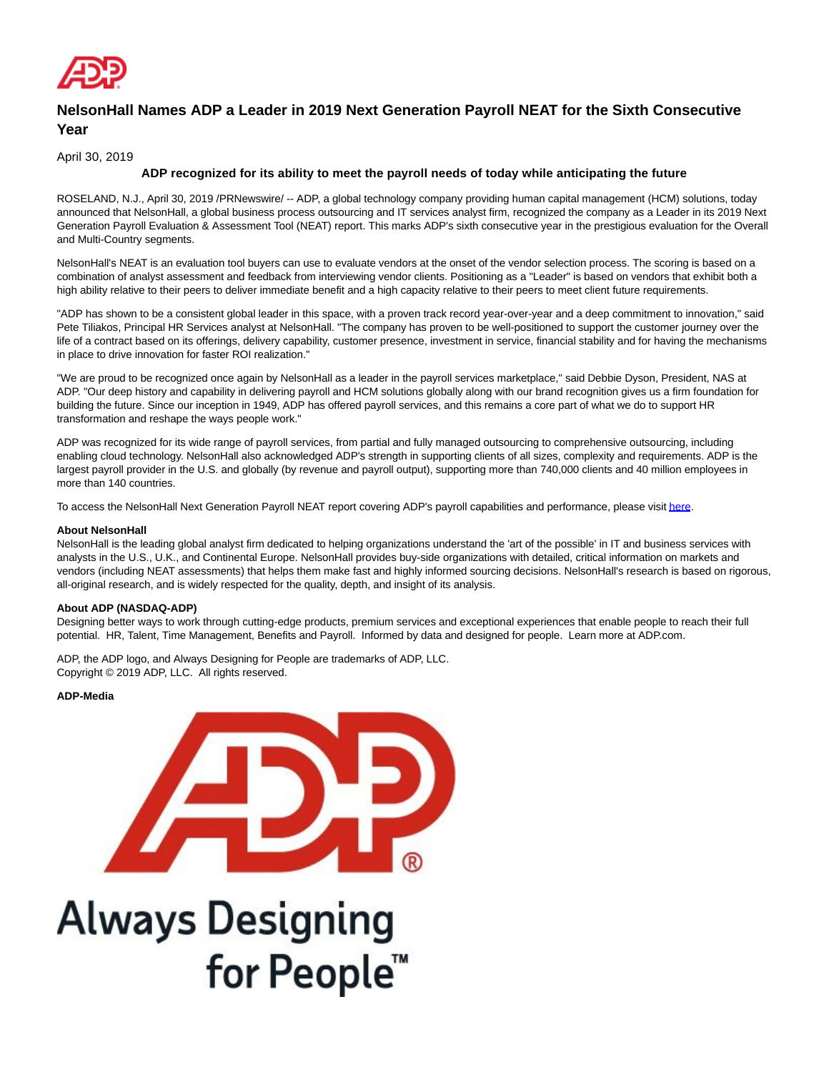

## **NelsonHall Names ADP a Leader in 2019 Next Generation Payroll NEAT for the Sixth Consecutive Year**

April 30, 2019

## **ADP recognized for its ability to meet the payroll needs of today while anticipating the future**

ROSELAND, N.J., April 30, 2019 /PRNewswire/ -- ADP, a global technology company providing human capital management (HCM) solutions, today announced that NelsonHall, a global business process outsourcing and IT services analyst firm, recognized the company as a Leader in its 2019 Next Generation Payroll Evaluation & Assessment Tool (NEAT) report. This marks ADP's sixth consecutive year in the prestigious evaluation for the Overall and Multi-Country segments.

NelsonHall's NEAT is an evaluation tool buyers can use to evaluate vendors at the onset of the vendor selection process. The scoring is based on a combination of analyst assessment and feedback from interviewing vendor clients. Positioning as a "Leader" is based on vendors that exhibit both a high ability relative to their peers to deliver immediate benefit and a high capacity relative to their peers to meet client future requirements.

"ADP has shown to be a consistent global leader in this space, with a proven track record year-over-year and a deep commitment to innovation," said Pete Tiliakos, Principal HR Services analyst at NelsonHall. "The company has proven to be well-positioned to support the customer journey over the life of a contract based on its offerings, delivery capability, customer presence, investment in service, financial stability and for having the mechanisms in place to drive innovation for faster ROI realization."

"We are proud to be recognized once again by NelsonHall as a leader in the payroll services marketplace," said Debbie Dyson, President, NAS at ADP. "Our deep history and capability in delivering payroll and HCM solutions globally along with our brand recognition gives us a firm foundation for building the future. Since our inception in 1949, ADP has offered payroll services, and this remains a core part of what we do to support HR transformation and reshape the ways people work."

ADP was recognized for its wide range of payroll services, from partial and fully managed outsourcing to comprehensive outsourcing, including enabling cloud technology. NelsonHall also acknowledged ADP's strength in supporting clients of all sizes, complexity and requirements. ADP is the largest payroll provider in the U.S. and globally (by revenue and payroll output), supporting more than 740,000 clients and 40 million employees in more than 140 countries.

To access the NelsonHall Next Generation Payroll NEAT report covering ADP's payroll capabilities and performance, please visi[t here.](https://c212.net/c/link/?t=0&l=en&o=2451659-1&h=1997259044&u=https%3A%2F%2Fwww.adp.com%2Fresources%2Fwhat-others-say%2Fanalyst-reports%2F2019-nelsonhall-next-generation-payroll-neat-report.aspx%3F%26campid%3D7010b000001S5s0%26elqCampaignId%3D26387%26cid%3Dpr_GESANLST19_NelsonPayroll_26387&a=here)

## **About NelsonHall**

NelsonHall is the leading global analyst firm dedicated to helping organizations understand the 'art of the possible' in IT and business services with analysts in the U.S., U.K., and Continental Europe. NelsonHall provides buy-side organizations with detailed, critical information on markets and vendors (including NEAT assessments) that helps them make fast and highly informed sourcing decisions. NelsonHall's research is based on rigorous, all-original research, and is widely respected for the quality, depth, and insight of its analysis.

## **About ADP (NASDAQ-ADP)**

Designing better ways to work through cutting-edge products, premium services and exceptional experiences that enable people to reach their full potential. HR, Talent, Time Management, Benefits and Payroll. Informed by data and designed for people. Learn more at ADP.com.

ADP, the ADP logo, and Always Designing for People are trademarks of ADP, LLC. Copyright © 2019 ADP, LLC. All rights reserved.

**ADP-Media**



**Always Designing** for People™